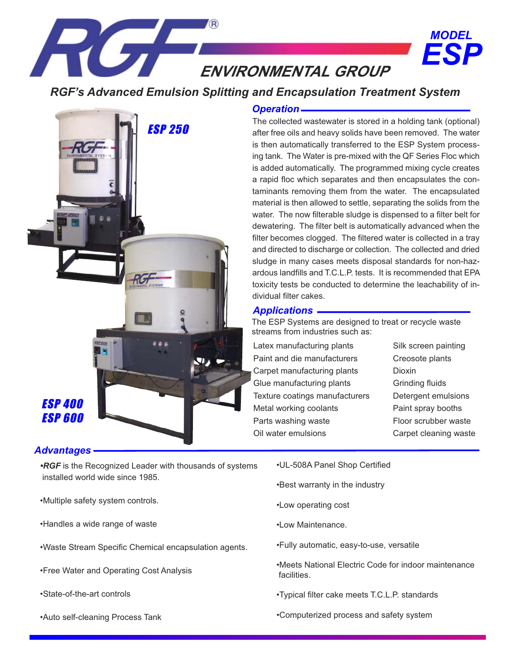ENVIRONMENTAL GROUP

# *RGF's Advanced Emulsion Splitting and Encapsulation Treatment System*



#### *Advantages*

- *•RGF* is the Recognized Leader with thousands of systems installed world wide since 1985.
- •Multiple safety system controls.
- •Handles a wide range of waste
- •Waste Stream Specific Chemical encapsulation agents.
- •Free Water and Operating Cost Analysis
- •State-of-the-art controls
- •Auto self-cleaning Process Tank

### *Operation*

The collected wastewater is stored in a holding tank (optional) after free oils and heavy solids have been removed. The water is then automatically transferred to the ESP System processing tank. The Water is pre-mixed with the QF Series Floc which is added automatically. The programmed mixing cycle creates a rapid floc which separates and then encapsulates the contaminants removing them from the water. The encapsulated material is then allowed to settle, separating the solids from the water. The now filterable sludge is dispensed to a filter belt for dewatering. The filter belt is automatically advanced when the filter becomes clogged. The filtered water is collected in a tray and directed to discharge or collection. The collected and dried sludge in many cases meets disposal standards for non-hazardous landfills and T.C.L.P. tests. It is recommended that EPA toxicity tests be conducted to determine the leachability of individual filter cakes.

### *Applications*

The ESP Systems are designed to treat or recycle waste streams from industries such as:

Latex manufacturing plants Paint and die manufacturers Carpet manufacturing plants Glue manufacturing plants Texture coatings manufacturers Metal working coolants Parts washing waste Oil water emulsions

Silk screen painting Creosote plants Dioxin Grinding fluids Detergent emulsions Paint spray booths Floor scrubber waste Carpet cleaning waste

*ESP*

*MODEL*

- •UL-508A Panel Shop Certified
- •Best warranty in the industry
- •Low operating cost
- •Low Maintenance.
- •Fully automatic, easy-to-use, versatile
- •Meets National Electric Code for indoor maintenance **facilities**
- •Typical filter cake meets T.C.L.P. standards
- •Computerized process and safety system